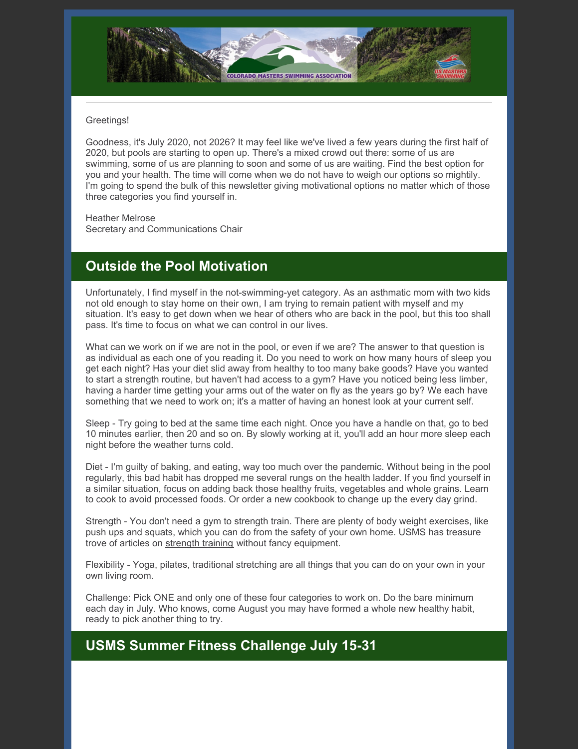

#### Greetings!

Goodness, it's July 2020, not 2026? It may feel like we've lived a few years during the first half of 2020, but pools are starting to open up. There's a mixed crowd out there: some of us are swimming, some of us are planning to soon and some of us are waiting. Find the best option for you and your health. The time will come when we do not have to weigh our options so mightily. I'm going to spend the bulk of this newsletter giving motivational options no matter which of those three categories you find yourself in.

Heather Melrose Secretary and Communications Chair

### **Outside the Pool Motivation**

Unfortunately, I find myself in the not-swimming-yet category. As an asthmatic mom with two kids not old enough to stay home on their own, I am trying to remain patient with myself and my situation. It's easy to get down when we hear of others who are back in the pool, but this too shall pass. It's time to focus on what we can control in our lives.

What can we work on if we are not in the pool, or even if we are? The answer to that question is as individual as each one of you reading it. Do you need to work on how many hours of sleep you get each night? Has your diet slid away from healthy to too many bake goods? Have you wanted to start a strength routine, but haven't had access to a gym? Have you noticed being less limber, having a harder time getting your arms out of the water on fly as the years go by? We each have something that we need to work on; it's a matter of having an honest look at your current self.

Sleep - Try going to bed at the same time each night. Once you have a handle on that, go to bed 10 minutes earlier, then 20 and so on. By slowly working at it, you'll add an hour more sleep each night before the weather turns cold.

Diet - I'm guilty of baking, and eating, way too much over the pandemic. Without being in the pool regularly, this bad habit has dropped me several rungs on the health ladder. If you find yourself in a similar situation, focus on adding back those healthy fruits, vegetables and whole grains. Learn to cook to avoid processed foods. Or order a new cookbook to change up the every day grind.

Strength - You don't need a gym to strength train. There are plenty of body weight exercises, like push ups and squats, which you can do from the safety of your own home. USMS has treasure trove of articles on [strength](https://www.usms.org/fitness-and-training/articles-and-videos?contentType[0]=Article&contentType[1]=Video&filter=&tags[0]=Drylands&page=1&perPage=10&filterItem=20cf26a9-68b1-490f-8408-471cdd7513f8) training without fancy equipment.

Flexibility - Yoga, pilates, traditional stretching are all things that you can do on your own in your own living room.

Challenge: Pick ONE and only one of these four categories to work on. Do the bare minimum each day in July. Who knows, come August you may have formed a whole new healthy habit, ready to pick another thing to try.

### **USMS Summer Fitness Challenge July 15-31**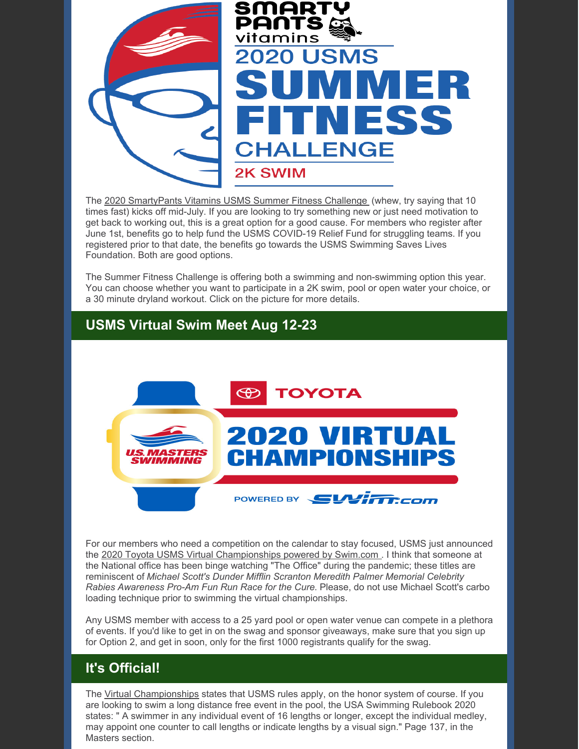

The 2020 [SmartyPants](https://www.usms.org/events/fitness-events/fitness-series/summer-fitness-challenge) Vitamins USMS Summer Fitness Challenge (whew, try saying that 10 times fast) kicks off mid-July. If you are looking to try something new or just need motivation to get back to working out, this is a great option for a good cause. For members who register after June 1st, benefits go to help fund the USMS COVID-19 Relief Fund for struggling teams. If you registered prior to that date, the benefits go towards the USMS Swimming Saves Lives Foundation. Both are good options.

The Summer Fitness Challenge is offering both a swimming and non-swimming option this year. You can choose whether you want to participate in a 2K swim, pool or open water your choice, or a 30 minute dryland workout. Click on the picture for more details.

## **USMS Virtual Swim Meet Aug 12-23**



For our members who need a competition on the calendar to stay focused, USMS just announced the 2020 Toyota USMS Virtual [Championships](https://www.usms.org/events/virtual-championships) powered by Swim.com . I think that someone at the National office has been binge watching "The Office" during the pandemic; these titles are reminiscent of *Michael Scott's Dunder Mifflin Scranton Meredith Palmer Memorial Celebrity Rabies Awareness Pro-Am Fun Run Race for the Cure*. Please, do not use Michael Scott's carbo loading technique prior to swimming the virtual championships.

Any USMS member with access to a 25 yard pool or open water venue can compete in a plethora of events. If you'd like to get in on the swag and sponsor giveaways, make sure that you sign up for Option 2, and get in soon, only for the first 1000 registrants qualify for the swag.

# **It's Official!**

The Virtual [Championships](https://www.usms.org/events/virtual-championships) states that USMS rules apply, on the honor system of course. If you are looking to swim a long distance free event in the pool, the USA Swimming Rulebook 2020 states: " A swimmer in any individual event of 16 lengths or longer, except the individual medley, may appoint one counter to call lengths or indicate lengths by a visual sign." Page 137, in the Masters section.